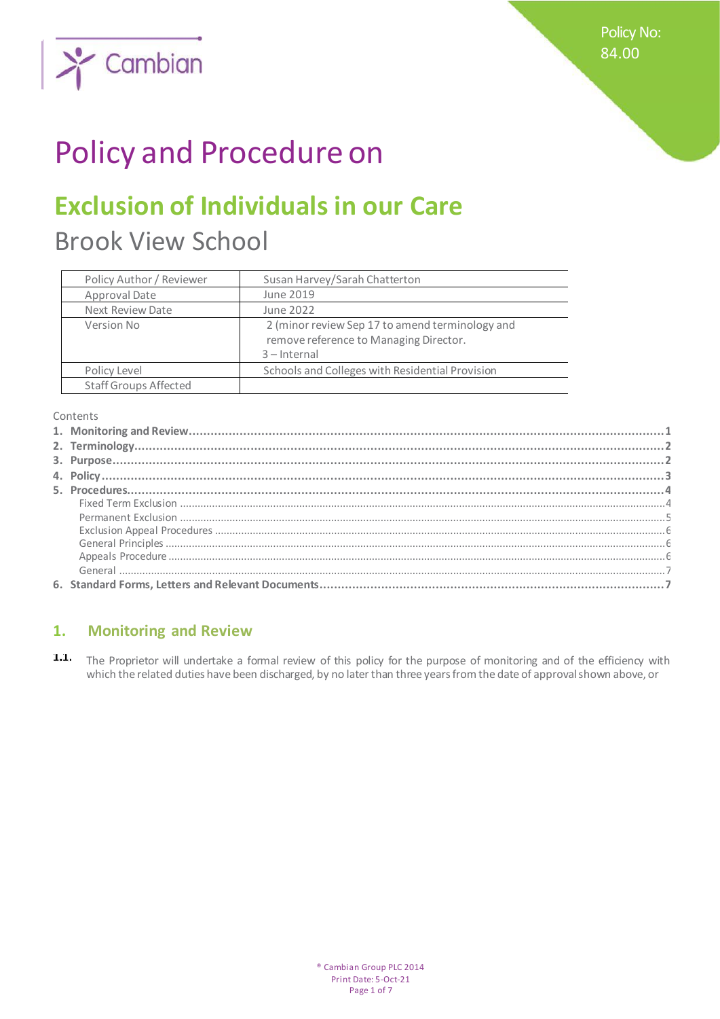Policy No: 84.00



# Policy and Procedure on

## **Exclusion of Individuals in our Care**

Brook View School

| Policy Author / Reviewer     | Susan Harvey/Sarah Chatterton                                                                               |
|------------------------------|-------------------------------------------------------------------------------------------------------------|
| Approval Date                | June 2019                                                                                                   |
| Next Review Date             | June 2022                                                                                                   |
| Version No                   | 2 (minor review Sep 17 to amend terminology and<br>remove reference to Managing Director.<br>$3$ – Internal |
| Policy Level                 | Schools and Colleges with Residential Provision                                                             |
| <b>Staff Groups Affected</b> |                                                                                                             |

Contents

## **1. Monitoring and Review**

 $1.1.$ The Proprietor will undertake a formal review of this policy for the purpose of monitoring and of the efficiency with which the related duties have been discharged, by no later than three years from the date of approval shown above, or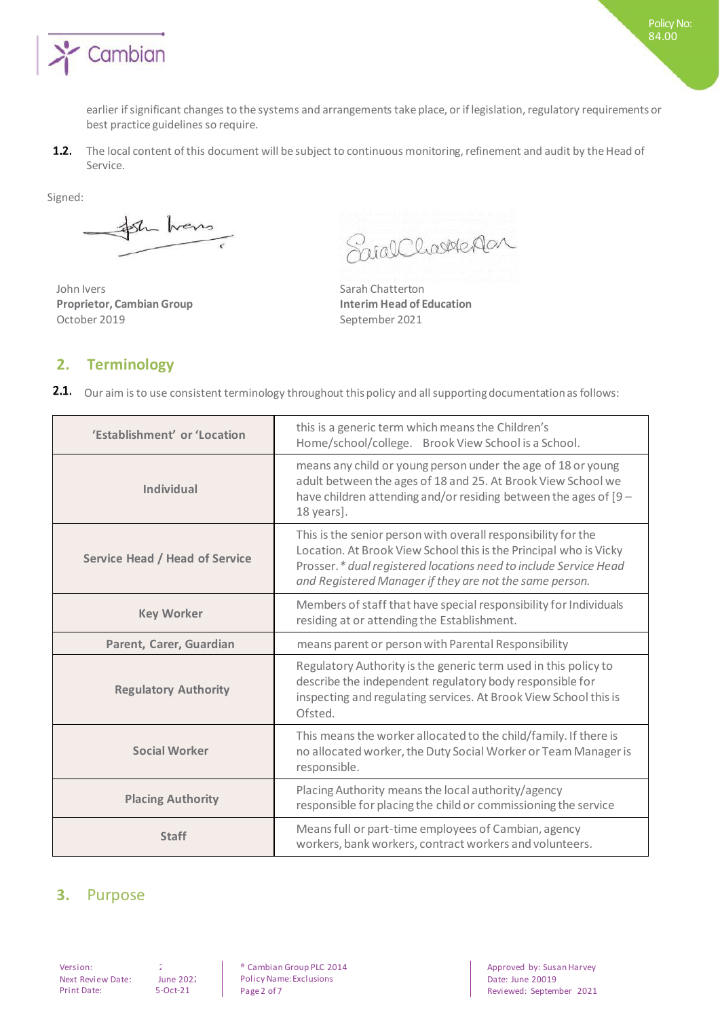

earlier if significant changes to the systems and arrangements take place, or if legislation, regulatory requirements or best practice guidelines so require.

 $1.2.$ The local content of this document will be subject to continuous monitoring, refinement and audit by the Head of Service.

Signed:

Sh hans

John Ivers **Sarah Chatterton Proprietor, Cambian Group Interim Head of Education** October 2019 September 2021

SnialCharledar

## **2. Terminology**

2.1. Our aim is to use consistent terminology throughout this policy and all supporting documentation as follows:

| 'Establishment' or 'Location          | this is a generic term which means the Children's<br>Home/school/college. Brook View School is a School.                                                                                                                                                          |
|---------------------------------------|-------------------------------------------------------------------------------------------------------------------------------------------------------------------------------------------------------------------------------------------------------------------|
| <b>Individual</b>                     | means any child or young person under the age of 18 or young<br>adult between the ages of 18 and 25. At Brook View School we<br>have children attending and/or residing between the ages of [9 -<br>18 years].                                                    |
| <b>Service Head / Head of Service</b> | This is the senior person with overall responsibility for the<br>Location. At Brook View School this is the Principal who is Vicky<br>Prosser.* dual registered locations need to include Service Head<br>and Registered Manager if they are not the same person. |
| <b>Key Worker</b>                     | Members of staff that have special responsibility for Individuals<br>residing at or attending the Establishment.                                                                                                                                                  |
| Parent, Carer, Guardian               | means parent or person with Parental Responsibility                                                                                                                                                                                                               |
| <b>Regulatory Authority</b>           | Regulatory Authority is the generic term used in this policy to<br>describe the independent regulatory body responsible for<br>inspecting and regulating services. At Brook View School this is<br>Ofsted.                                                        |
| <b>Social Worker</b>                  | This means the worker allocated to the child/family. If there is<br>no allocated worker, the Duty Social Worker or Team Manager is<br>responsible.                                                                                                                |
| <b>Placing Authority</b>              | Placing Authority means the local authority/agency<br>responsible for placing the child or commissioning the service                                                                                                                                              |
| <b>Staff</b>                          | Means full or part-time employees of Cambian, agency<br>workers, bank workers, contract workers and volunteers.                                                                                                                                                   |

## **3.** Purpose

Next Review Date: June 202<br>Print Date: 5-Oct-21 Print Date:

Version: 2 ® Cambian Group PLC 2014 Policy Name: Exclusions Page 2 of 7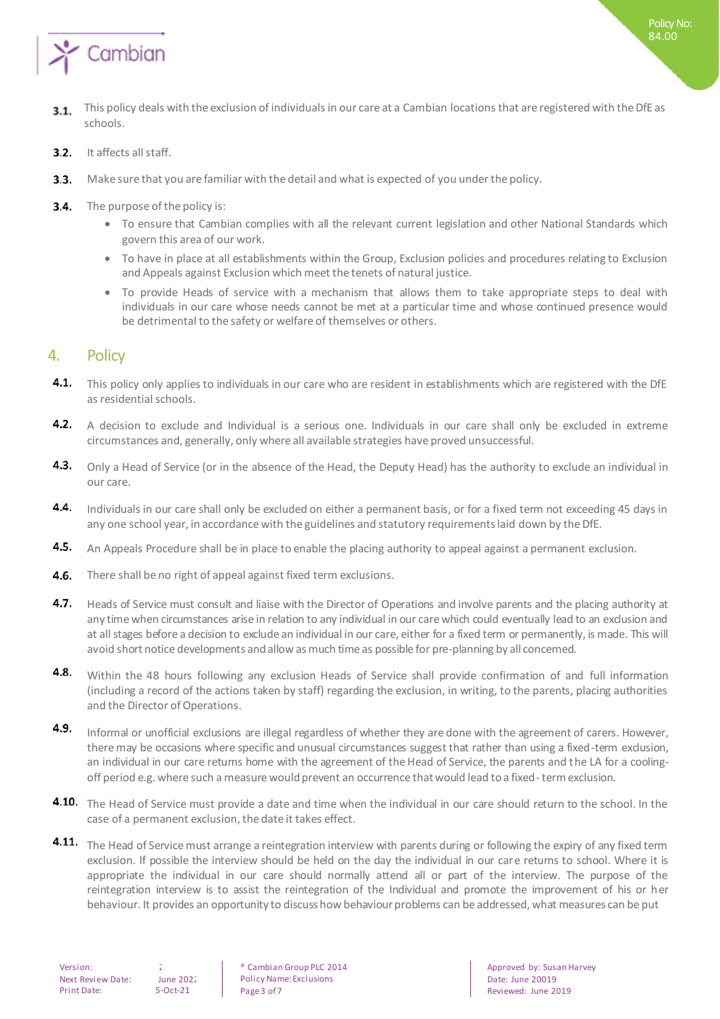

- This policy deals with the exclusion of individuals in our care at a Cambian locations that are registered with the DfE as  $3.1.$ schools.
- It affects all staff.  $3.2.$
- $3.3.$ Make sure that you are familiar with the detail and what is expected of you under the policy.
- The purpose of the policy is:  $3.4.$ 
	- To ensure that Cambian complies with all the relevant current legislation and other National Standards which govern this area of our work.
	- To have in place at all establishments within the Group, Exclusion policies and procedures relating to Exclusion and Appeals against Exclusion which meet the tenets of natural justice.
	- To provide Heads of service with a mechanism that allows them to take appropriate steps to deal with individuals in our care whose needs cannot be met at a particular time and whose continued presence would be detrimental to the safety or welfare of themselves or others.

#### 4. Policy

- 4.1. This policy only applies to individuals in our care who are resident in establishments which are registered with the DfE as residential schools.
- 4.2. A decision to exclude and Individual is a serious one. Individuals in our care shall only be excluded in extreme circumstances and, generally, only where all available strategies have proved unsuccessful.
- 4.3. Only a Head of Service (or in the absence of the Head, the Deputy Head) has the authority to exclude an individual in our care.
- 4.4. Individuals in our care shall only be excluded on either a permanent basis, or for a fixed term not exceeding 45 days in any one school year, in accordance with the guidelines and statutory requirements laid down by the DfE.
- $4.5.$ An Appeals Procedure shall be in place to enable the placing authority to appeal against a permanent exclusion.
- 4.6. There shall be no right of appeal against fixed term exclusions.
- 4.7. Heads of Service must consult and liaise with the Director of Operations and involve parents and the placing authority at any time when circumstances arise in relation to any individual in our care which could eventually lead to an exclusion and at all stages before a decision to exclude an individual in our care, either for a fixed term or permanently, is made. This will avoid short notice developments and allow as much time as possible for pre-planning by all concerned.
- 4.8. Within the 48 hours following any exclusion Heads of Service shall provide confirmation of and full information (including a record of the actions taken by staff) regarding the exclusion, in writing, to the parents, placing authorities and the Director of Operations.
- 4.9. Informal or unofficial exclusions are illegal regardless of whether they are done with the agreement of carers. However, there may be occasions where specific and unusual circumstances suggest that rather than using a fixed-term exclusion, an individual in our care returns home with the agreement of the Head of Service, the parents and the LA for a coolingoff period e.g. where such a measure would prevent an occurrence that would lead to a fixed-term exclusion.
- 4.10. The Head of Service must provide a date and time when the individual in our care should return to the school. In the case of a permanent exclusion, the date it takes effect.
- **4.11.** The Head of Service must arrange a reintegration interview with parents during or following the expiry of any fixed term exclusion. If possible the interview should be held on the day the individual in our care returns to school. Where it is appropriate the individual in our care should normally attend all or part of the interview. The purpose of the reintegration interview is to assist the reintegration of the Individual and promote the improvement of his or her behaviour. It provides an opportunity to discuss how behaviour problems can be addressed, what measures can be put

Version: 2 2 8 & Cambian Group PLC 2014 Policy Name: Exclusions Page 3 of 7

Approved by: Susan Harvey Date: June 20019 Reviewed: June 2019

Policy No: 84.00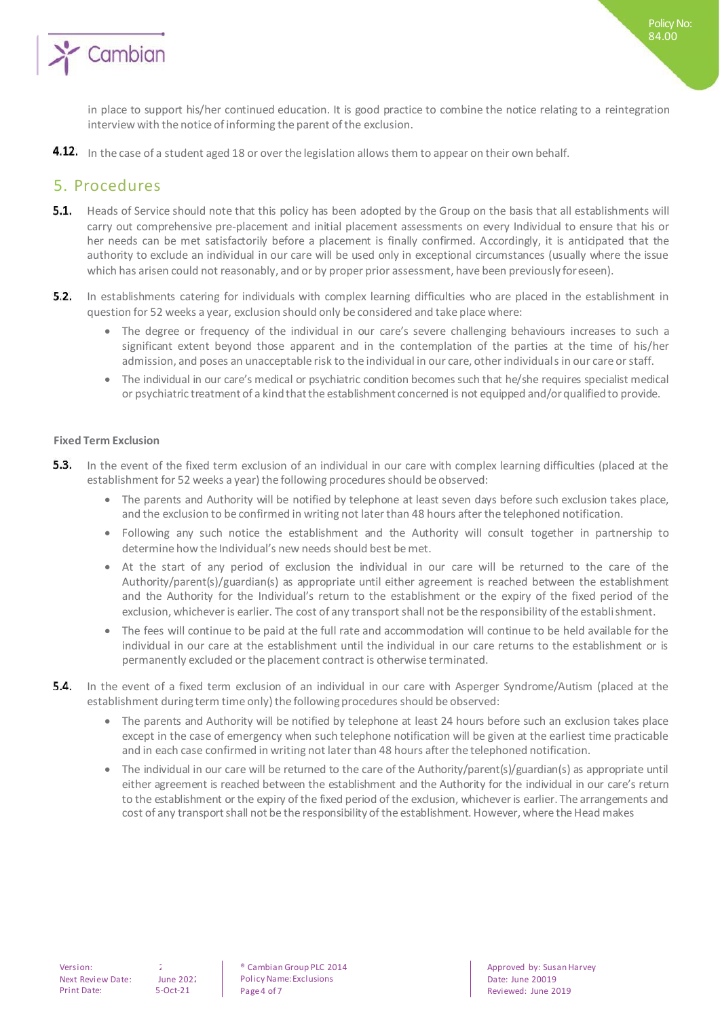

Policy No: 84.00

**4.12.** In the case of a student aged 18 or over the legislation allows them to appear on their own behalf.

### 5. Procedures

- **5.1.** Heads of Service should note that this policy has been adopted by the Group on the basis that all establishments will carry out comprehensive pre-placement and initial placement assessments on every Individual to ensure that his or her needs can be met satisfactorily before a placement is finally confirmed. Accordingly, it is anticipated that the authority to exclude an individual in our care will be used only in exceptional circumstances (usually where the issue which has arisen could not reasonably, and or by proper prior assessment, have been previously foreseen).
- $5.2.$ In establishments catering for individuals with complex learning difficulties who are placed in the establishment in question for 52 weeks a year, exclusion should only be considered and take place where:
	- The degree or frequency of the individual in our care's severe challenging behaviours increases to such a significant extent beyond those apparent and in the contemplation of the parties at the time of his/her admission, and poses an unacceptable risk to the individual in our care, other individuals in our care or staff.
	- The individual in our care's medical or psychiatric condition becomes such that he/she requires specialist medical or psychiatric treatment of a kind that the establishment concerned is not equipped and/or qualified to provide.

#### **Fixed Term Exclusion**

- $5.3.$ In the event of the fixed term exclusion of an individual in our care with complex learning difficulties (placed at the establishment for 52 weeks a year) the following procedures should be observed:
	- The parents and Authority will be notified by telephone at least seven days before such exclusion takes place, and the exclusion to be confirmed in writing not later than 48 hours after the telephoned notification.
	- Following any such notice the establishment and the Authority will consult together in partnership to determine how the Individual's new needs should best be met.
	- At the start of any period of exclusion the individual in our care will be returned to the care of the Authority/parent(s)/guardian(s) as appropriate until either agreement is reached between the establishment and the Authority for the Individual's return to the establishment or the expiry of the fixed period of the exclusion, whichever is earlier. The cost of any transport shall not be the responsibility of the establishment.
	- The fees will continue to be paid at the full rate and accommodation will continue to be held available for the individual in our care at the establishment until the individual in our care returns to the establishment or is permanently excluded or the placement contract is otherwise terminated.
- **5.4.** In the event of a fixed term exclusion of an individual in our care with Asperger Syndrome/Autism (placed at the establishment during term time only) the following procedures should be observed:
	- The parents and Authority will be notified by telephone at least 24 hours before such an exclusion takes place except in the case of emergency when such telephone notification will be given at the earliest time practicable and in each case confirmed in writing not later than 48 hours after the telephoned notification.
	- The individual in our care will be returned to the care of the Authority/parent(s)/guardian(s) as appropriate until either agreement is reached between the establishment and the Authority for the individual in our care's return to the establishment or the expiry of the fixed period of the exclusion, whichever is earlier. The arrangements and cost of any transport shall not be the responsibility of the establishment. However, where the Head makes

Version: 2 2 8 & Cambian Group PLC 2014 Policy Name: Exclusions Page 4 of 7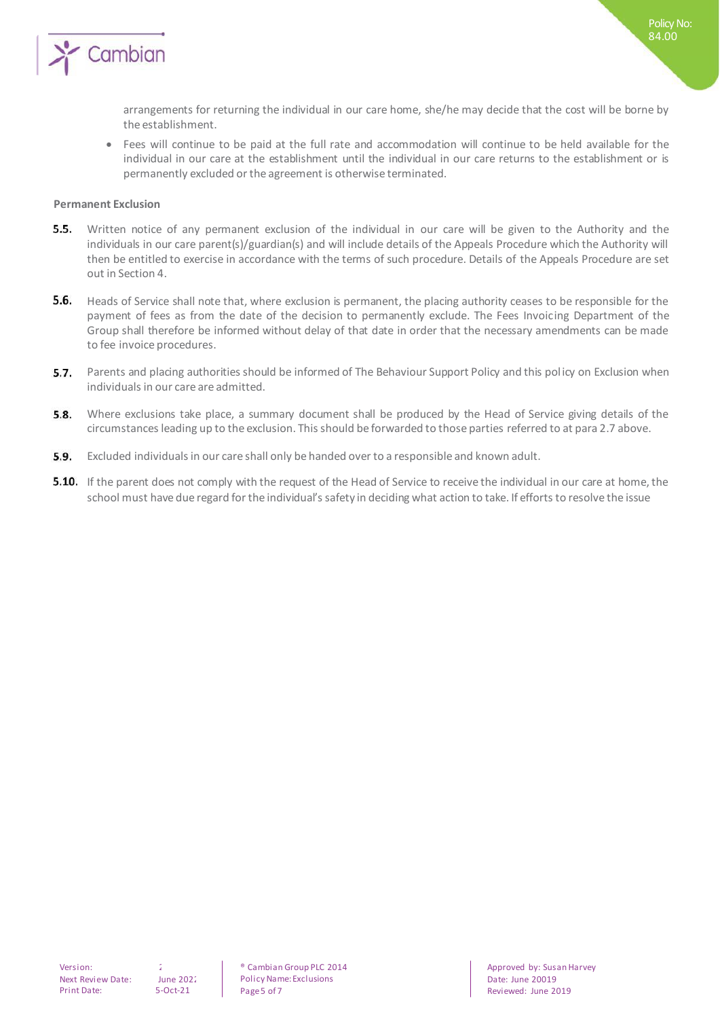

arrangements for returning the individual in our care home, she/he may decide that the cost will be borne by the establishment.

 Fees will continue to be paid at the full rate and accommodation will continue to be held available for the individual in our care at the establishment until the individual in our care returns to the establishment or is permanently excluded or the agreement is otherwise terminated.

#### **Permanent Exclusion**

- **5.5.** Written notice of any permanent exclusion of the individual in our care will be given to the Authority and the individuals in our care parent(s)/guardian(s) and will include details of the Appeals Procedure which the Authority will then be entitled to exercise in accordance with the terms of such procedure. Details of the Appeals Procedure are set out in Section 4.
- $5.6.$ Heads of Service shall note that, where exclusion is permanent, the placing authority ceases to be responsible for the payment of fees as from the date of the decision to permanently exclude. The Fees Invoicing Department of the Group shall therefore be informed without delay of that date in order that the necessary amendments can be made to fee invoice procedures.
- 5.7. Parents and placing authorities should be informed of The Behaviour Support Policy and this policy on Exclusion when individuals in our care are admitted.
- **5.8.** Where exclusions take place, a summary document shall be produced by the Head of Service giving details of the circumstances leading up to the exclusion. This should be forwarded to those parties referred to at para 2.7 above.
- **5.9.** Excluded individuals in our care shall only be handed over to a responsible and known adult.
- **5.10.** If the parent does not comply with the request of the Head of Service to receive the individual in our care at home, the school must have due regard for the individual's safety in deciding what action to take. If efforts to resolve the issue

Version: 2 2 8 & Cambian Group PLC 2014 Policy Name: Exclusions Page 5 of 7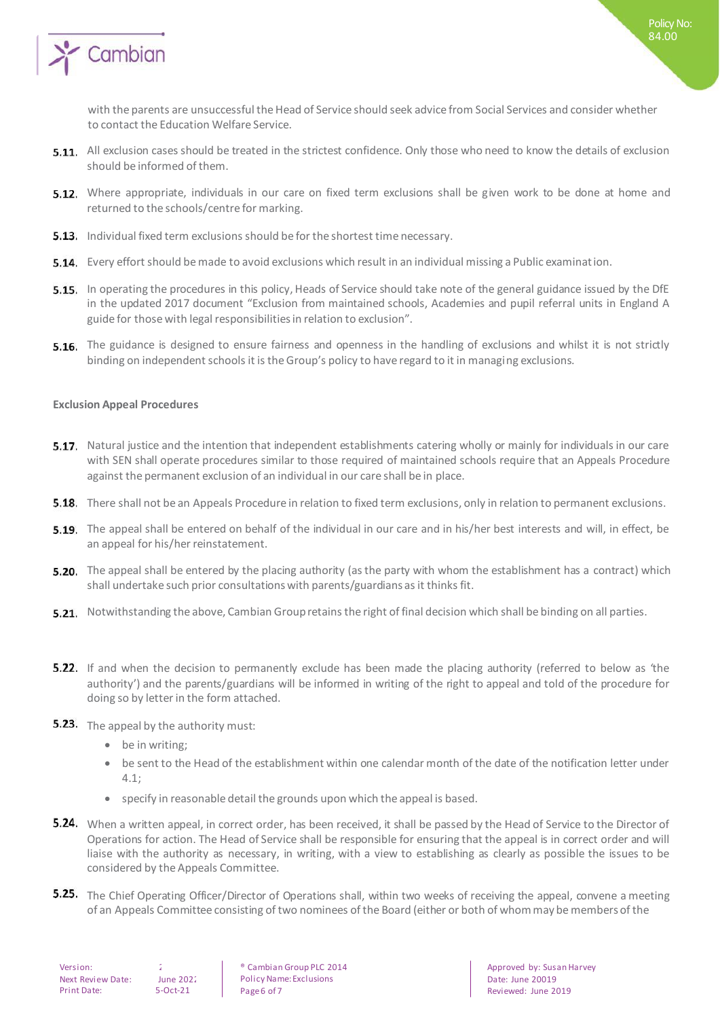

Policy No: 84.00

- 5.11. All exclusion cases should be treated in the strictest confidence. Only those who need to know the details of exclusion should be informed of them.
- **5.12.** Where appropriate, individuals in our care on fixed term exclusions shall be given work to be done at home and returned to the schools/centre for marking.
- **5.13.** Individual fixed term exclusions should be for the shortest time necessary.
- **5.14.** Every effort should be made to avoid exclusions which result in an individual missing a Public examination.
- **5.15.** In operating the procedures in this policy, Heads of Service should take note of the general guidance issued by the DfE in the updated 2017 document "Exclusion from maintained schools, Academies and pupil referral units in England A guide for those with legal responsibilities in relation to exclusion".
- **5.16.** The guidance is designed to ensure fairness and openness in the handling of exclusions and whilst it is not strictly binding on independent schools it is the Group's policy to have regard to it in managing exclusions.

#### **Exclusion Appeal Procedures**

- **General Principles** Natural justice and the intention that independent establishments catering wholly or mainly for individuals in our care with SEN shall operate procedures similar to those required of maintained schools require that an Appeals Procedure against the permanent exclusion of an individual in our care shall be in place.
- **5.18.** There shall not be an Appeals Procedure in relation to fixed term exclusions, only in relation to permanent exclusions.
- **5.19.** The appeal shall be entered on behalf of the individual in our care and in his/her best interests and will, in effect, be an appeal for his/her reinstatement.
- **5.20.** The appeal shall be entered by the placing authority (as the party with whom the establishment has a contract) which shall undertake such prior consultations with parents/guardians as it thinks fit.
- 5.21. Notwithstanding the above, Cambian Group retains the right of final decision which shall be binding on all parties.
- **Appeals Procedure** If and when the decision to permanently exclude has been made the placing authority (referred to below as 'the authority') and the parents/guardians will be informed in writing of the right to appeal and told of the procedure for doing so by letter in the form attached.
- **5.23.** The appeal by the authority must:
	- be in writing;
	- be sent to the Head of the establishment within one calendar month of the date of the notification letter under 4.1;
	- specify in reasonable detail the grounds upon which the appeal is based.
- 5.24. When a written appeal, in correct order, has been received, it shall be passed by the Head of Service to the Director of Operations for action. The Head of Service shall be responsible for ensuring that the appeal is in correct order and will liaise with the authority as necessary, in writing, with a view to establishing as clearly as possible the issues to be considered by the Appeals Committee.
- 5.25. The Chief Operating Officer/Director of Operations shall, within two weeks of receiving the appeal, convene a meeting of an Appeals Committee consisting of two nominees of the Board (either or both of whom may be members of the

| Version:                 |  |
|--------------------------|--|
| <b>Next Review Date:</b> |  |
| Print Date:              |  |

 $une$  2022  $-Ort - 21$ 

<sup>®</sup> Cambian Group PLC 2014 Policy Name: Exclusions Page 6 of 7